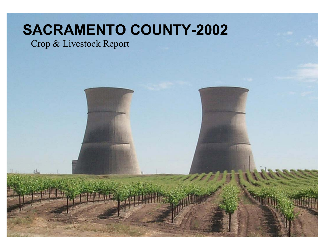# **SACRAMENTO COUNTY-2002**

## Crop & Livestock Report

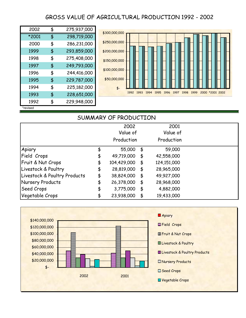### GROSS VALUE OF AGRICULTURAL PRODUCTION 1992 - 2002

| 2002     | 275,937,000       |
|----------|-------------------|
| *2001    | \$<br>298,719,000 |
| 2000     | \$<br>286,231,000 |
| 1999     | \$<br>293,859,000 |
| 1998     | \$<br>275,408,000 |
| 1997     | \$<br>249,793,000 |
| 1996     | \$<br>244,416,000 |
| 1995     | \$<br>229,787,000 |
| 1994     | \$<br>225,182,000 |
| 1993     | \$<br>228,651,000 |
| 1992     | \$<br>229,948,000 |
| *revised |                   |



#### SUMMARY OF PRODUCTION

|                              | 2002              |               | 2001        |  |
|------------------------------|-------------------|---------------|-------------|--|
|                              | Value of          |               | Value of    |  |
|                              | Production        |               | Production  |  |
| Apiary                       | 55,000            | \$            | 59,000      |  |
| Field Crops                  | \$<br>49,719,000  | \$            | 42,558,000  |  |
| Fruit & Nut Crops            | \$<br>104,429,000 | $\frac{1}{2}$ | 124,151,000 |  |
| Livestock & Poultry          | \$<br>28,819,000  | $\frac{4}{5}$ | 28,965,000  |  |
| Livestock & Poultry Products | \$<br>38,824,000  | $\frac{1}{2}$ | 49,927,000  |  |
| Nursery Products             | \$<br>26,378,000  | $\frac{4}{5}$ | 28,968,000  |  |
| <b>Seed Crops</b>            | \$<br>3,775,000   | \$            | 4,882,000   |  |
| Vegetable Crops              | \$<br>23,938,000  | $\frac{4}{5}$ | 19,433,000  |  |

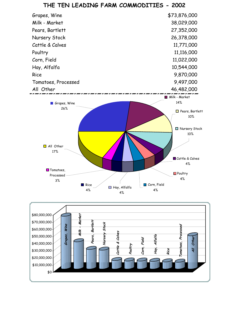

#### **THE TEN LEADING FARM COMMODITIES - 2002**

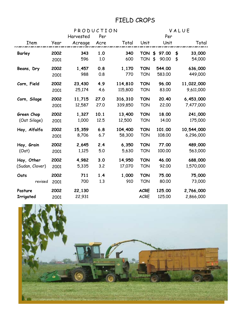### FIELD CROPS

|                 | PRODUCTION |           |      |         |             |             | VALUE |            |  |  |
|-----------------|------------|-----------|------|---------|-------------|-------------|-------|------------|--|--|
|                 |            | Harvested | Per  |         |             | Per         |       |            |  |  |
| Item            | Year       | Acreage   | Acre | Total   | Unit        | Unit        |       | Total      |  |  |
| Barley          | 2002       | 343       | 1.0  | 340     | <b>TON</b>  | \$<br>97.00 | \$    | 33,000     |  |  |
|                 | 2001       | 596       | 1.0  | 600     | <b>TON</b>  | \$<br>90.00 | \$    | 54,000     |  |  |
| Beans, Dry      | 2002       | 1,457     | 0.8  | 1,170   | <b>TON</b>  | 544.00      |       | 636,000    |  |  |
|                 | 2001       | 988       | 0.8  | 770     | <b>TON</b>  | 583.00      |       | 449,000    |  |  |
| Corn, Field     | 2002       | 23,430    | 4.9  | 114,810 | <b>TON</b>  | 96.00       |       | 11,022,000 |  |  |
|                 | 2001       | 25,174    | 4.6  | 115,800 | <b>TON</b>  | 83.00       |       | 9,611,000  |  |  |
| Corn, Silage    | 2002       | 11,715    | 27.0 | 316,310 | <b>TON</b>  | 20.40       |       | 6,453,000  |  |  |
|                 | 2001       | 12,587    | 27.0 | 339,850 | <b>TON</b>  | 22.00       |       | 7,477,000  |  |  |
| Green Chop      | 2002       | 1,327     | 10.1 | 13,400  | <b>TON</b>  | 18.00       |       | 241,000    |  |  |
| (Oat Silage)    | 2001       | 1,000     | 12.5 | 12,500  | <b>TON</b>  | 14.00       |       | 175,000    |  |  |
| Hay, Alfalfa    | 2002       | 15,359    | 6.8  | 104,400 | <b>TON</b>  | 101.00      |       | 10,544,000 |  |  |
|                 | 2001       | 8,706     | 6.7  | 58,300  | <b>TON</b>  | 108.00      |       | 6,296,000  |  |  |
| Hay, Grain      | 2002       | 2,645     | 2.4  | 6,350   | <b>TON</b>  | 77.00       |       | 489,000    |  |  |
| (Oat)           | 2001       | 1,125     | 5.0  | 5,630   | <b>TON</b>  | 100.00      |       | 563,000    |  |  |
| Hay, Other      | 2002       | 4,982     | 3.0  | 14,950  | <b>TON</b>  | 46.00       |       | 688,000    |  |  |
| (Sudan, Clover) | 2001       | 5,335     | 3.2  | 17,070  | <b>TON</b>  | 92.00       |       | 1,570,000  |  |  |
| Oats            | 2002       | 711       | 1.4  | 1,000   | <b>TON</b>  | 75.00       |       | 75,000     |  |  |
| revised         | 2001       | 700       | 1.3  | 910     | <b>TON</b>  | 80.00       |       | 73,000     |  |  |
| Pasture         | 2002       | 22,130    |      |         | <b>ACRE</b> | 125.00      |       | 2,766,000  |  |  |
| Irrigated       | 2001       | 22,931    |      |         | <b>ACRE</b> | 125.00      |       | 2,866,000  |  |  |

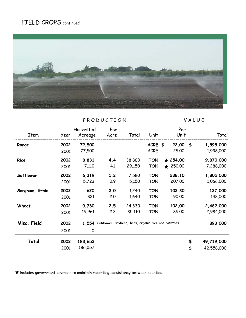### FIELD CROPS continued



PRODUCTION VALUE

|                |              | Harvested          | Per                                                       |                  |                          | Per                                 |          |                          |
|----------------|--------------|--------------------|-----------------------------------------------------------|------------------|--------------------------|-------------------------------------|----------|--------------------------|
| Item           | Year         | Acreage            | Acre                                                      | Total            | Unit                     | Unit                                |          | Total                    |
| Range          | 2002<br>2001 | 72,500<br>77,500   |                                                           |                  | ACRE \$<br><b>ACRE</b>   | 22.00<br>25.00                      | \$       | 1,595,000<br>1,938,000   |
| <b>Rice</b>    | 2002<br>2001 | 8,831<br>7,110     | 4.4<br>4.1                                                | 38,860<br>29,150 | <b>TON</b><br><b>TON</b> | $\star$ 254.00<br>250.00<br>$\star$ |          | 9,870,000<br>7,288,000   |
| Safflower      | 2002<br>2001 | 6,319<br>5,723     | 1.2<br>0.9                                                | 7,580<br>5,150   | <b>TON</b><br><b>TON</b> | 238.10<br>207.00                    |          | 1,805,000<br>1,066,000   |
| Sorghum, Grain | 2002<br>2001 | 620<br>821         | 2.0<br>2.0                                                | 1,240<br>1,640   | <b>TON</b><br><b>TON</b> | 102.30<br>90.00                     |          | 127,000<br>148,000       |
| Wheat          | 2002<br>2001 | 9,730<br>15,961    | 2.5<br>2.2                                                | 24,330<br>35,110 | <b>TON</b><br><b>TON</b> | 102.00<br>85.00                     |          | 2,482,000<br>2,984,000   |
| Misc. Field    | 2002<br>2001 | 0                  | 1,554 Sunflower, soybean, hops, organic rice and potatoes |                  |                          |                                     |          | 893,000                  |
| Total          | 2002<br>2001 | 183,653<br>186,257 |                                                           |                  |                          |                                     | \$<br>\$ | 49,719,000<br>42,558,000 |

 $\bigstar$  includes government payment to maintain reporting consistency between counties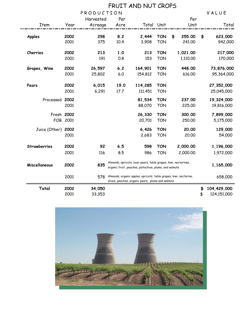|               | FRUIT AND NUT CROPS |                  |                                                                                                                          |                                                                                                                        |                          |    |                      |          |                            |  |
|---------------|---------------------|------------------|--------------------------------------------------------------------------------------------------------------------------|------------------------------------------------------------------------------------------------------------------------|--------------------------|----|----------------------|----------|----------------------------|--|
|               |                     | PRODUCTION       |                                                                                                                          |                                                                                                                        |                          |    |                      |          | VALUE                      |  |
|               |                     | Harvested        | Per                                                                                                                      |                                                                                                                        |                          |    | Per                  |          |                            |  |
| Item          | Year                | Acreage          | Acre                                                                                                                     | Total Unit                                                                                                             |                          |    | Unit                 |          | Total                      |  |
| <b>Apples</b> | 2002<br>2001        | 298<br>375       | 8.2<br>10.4                                                                                                              | 2,444<br>3,908                                                                                                         | <b>TON</b><br><b>TON</b> | \$ | 255.00<br>241.00     | \$       | 623,000<br>942,000         |  |
| Cherries      | 2002<br>2001        | 213<br>191       | 1.0<br>0.8                                                                                                               | 213<br>153                                                                                                             | <b>TON</b><br><b>TON</b> |    | 1,021.00<br>1,110.00 |          | 217,000<br>170,000         |  |
| Grapes, Wine  | 2002<br>2001        | 26,597<br>25,802 | $6.2$<br>6.0                                                                                                             | 164,901<br>154,812                                                                                                     | <b>TON</b><br><b>TON</b> |    | 448.00<br>616.00     |          | 73,876,000<br>95,364,000   |  |
| Pears         | 2002<br>2001        | 6,015<br>6,291   | 19.0<br>17.7                                                                                                             | 114,285<br>111,451                                                                                                     | <b>TON</b><br><b>TON</b> |    |                      |          | 27,352,000<br>25,045,000   |  |
| Processed     | 2002<br>2001        |                  |                                                                                                                          | 81,534<br>88,070                                                                                                       | <b>TON</b><br><b>TON</b> |    | 237.00<br>225.00     |          | 19,324,000<br>19,816,000   |  |
| Fresh 2002    | FOB 2001            |                  |                                                                                                                          | 26,330<br>20,701                                                                                                       | <b>TON</b><br><b>TON</b> |    | 300.00<br>250.00     |          | 7,899,000<br>5,175,000     |  |
| Juice (Other) | 2002<br>2001        |                  |                                                                                                                          | 6,426<br>2,683                                                                                                         | <b>TON</b><br><b>TON</b> |    | 20.00<br>20.00       |          | 129,000<br>54,000          |  |
| Strawberries  | 2002                | 92               | 6.5                                                                                                                      | 598                                                                                                                    | <b>TON</b>               |    | 2,000.00             |          | 1,196,000                  |  |
|               | 2001                | 116              | 8.5                                                                                                                      | 986                                                                                                                    | <b>TON</b>               |    | 2,000.00             |          | 1,972,000                  |  |
| Miscellaneous | 2002                | 835              | Almonds, apricots, bosc pears, table grapes, kiwi, nectarines,<br>organic fruit, peaches, pistachios, plums, and walnuts |                                                                                                                        |                          |    |                      |          | 1,165,000                  |  |
|               | 2001                | 578              |                                                                                                                          | Almonds, organic apples, apricots, table grapes, kiwi, nectarine,<br>olives, peaches, organic pears, plums and walnuts |                          |    |                      |          | 658,000                    |  |
| Total         | 2002<br>2001        | 34,050<br>33,353 |                                                                                                                          |                                                                                                                        |                          |    |                      | \$<br>\$ | 104,429,000<br>124,151,000 |  |

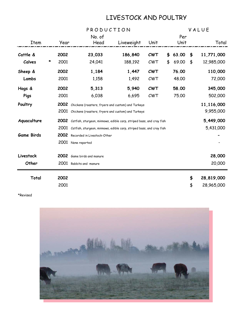### LIVESTOCK AND POULTRY

|                   |   |      |                                                                           | PRODUCTION<br>VALUE |            |    |       |    |            |  |
|-------------------|---|------|---------------------------------------------------------------------------|---------------------|------------|----|-------|----|------------|--|
|                   |   |      | No. of                                                                    |                     |            |    | Per   |    |            |  |
| <b>Item</b>       |   | Year | Head                                                                      | Liveweight          | Unit       |    | Unit  |    | Total      |  |
| Cattle &          |   | 2002 | 23,033                                                                    | 186,840             | <b>CWT</b> | \$ | 63.00 | \$ | 11,771,000 |  |
| Calves            | * | 2001 | 24,041                                                                    | 188,192             | CWT        | \$ | 69.00 | \$ | 12,985,000 |  |
| Sheep &           |   | 2002 | 1,184                                                                     | 1,447               | <b>CWT</b> |    | 76.00 |    | 110,000    |  |
| Lambs             |   | 2001 | 1,158                                                                     | 1,492               | CWT        |    | 48.00 |    | 72,000     |  |
| Hogs &            |   | 2002 | 5,313                                                                     | 5,940               | <b>CWT</b> |    | 58.00 |    | 345,000    |  |
| Pigs              |   | 2001 | 6,038                                                                     | 6,695               | CWT        |    | 75.00 |    | 502,000    |  |
| Poultry           |   | 2002 | Chickens (roasters, fryers and custom) and Turkeys                        |                     | 11,116,000 |    |       |    |            |  |
|                   |   | 2001 | Chickens (roasters, fryers and custom) and Turkeys                        |                     | 9,955,000  |    |       |    |            |  |
| Aquaculture       |   |      | 2002 Catfish, sturgeon, minnows, edible carp, striped bass, and cray fish |                     |            |    |       |    | 5,449,000  |  |
|                   |   | 2001 | Catfish, sturgeon, minnows, edible carp, striped bass, and cray fish      |                     |            |    |       |    | 5,431,000  |  |
| <b>Game Birds</b> |   | 2002 | Recorded in Livestock-Other                                               |                     |            |    |       |    |            |  |
|                   |   |      | 2001 None reported                                                        |                     |            |    |       |    |            |  |
| Livestock         |   | 2002 | Game birds and manure                                                     |                     |            |    |       |    | 28,000     |  |
| Other             |   |      | 2001 Rabbits and manure                                                   |                     |            |    |       |    | 20,000     |  |
| Total             |   | 2002 |                                                                           |                     |            |    |       | \$ | 28,819,000 |  |
|                   |   | 2001 |                                                                           |                     |            |    |       | \$ | 28,965,000 |  |

\*Revised

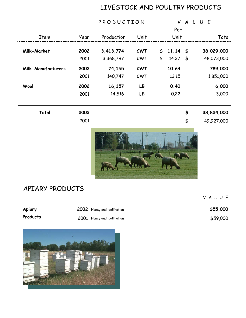### LIVESTOCK AND POULTRY PRODUCTS

V A L U E

|                           |      | PRODUCTION |            |    | V     |                 | ALUE |            |
|---------------------------|------|------------|------------|----|-------|-----------------|------|------------|
|                           |      |            |            |    | Per   |                 |      |            |
| Item                      | Year | Production | Unit       |    | Unit  |                 |      | Total      |
|                           |      |            |            |    |       |                 |      |            |
| Milk-Market               | 2002 | 3,413,774  | <b>CWT</b> | \$ | 11.14 | $\blacklozenge$ |      | 38,029,000 |
|                           | 2001 | 3,368,797  | CWT        | \$ | 14.27 | \$              |      | 48,073,000 |
| <b>Milk-Manufacturers</b> | 2002 | 74,155     | <b>CWT</b> |    | 10.64 |                 |      | 789,000    |
|                           | 2001 | 140,747    | CWT        |    | 13.15 |                 |      | 1,851,000  |
| Wool                      | 2002 | 16,157     | LB         |    | 0.40  |                 |      | 6,000      |
|                           | 2001 | 14,516     | LB         |    | 0.22  |                 |      | 3,000      |
|                           |      |            |            |    |       |                 |      |            |
| Total                     | 2002 |            |            |    |       | \$              |      | 38,824,000 |
|                           | 2001 |            |            |    |       | \$              |      | 49,927,000 |
|                           |      |            |            |    |       |                 |      |            |
| APIARY PRODUCTS           |      |            |            |    |       |                 |      |            |

| Apiary   | 2002 Honey and pollination | \$55,000 |
|----------|----------------------------|----------|
| Products | 2001 Honey and pollination | \$59,000 |

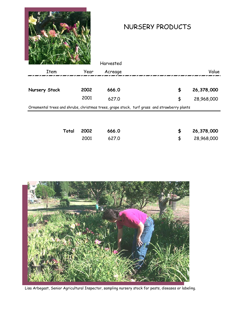

### NURSERY PRODUCTS

2001 627.0 28,968,000 \$

|               | Total | 2002 | 666.0                                                                                       | \$ | 26,378,000 |
|---------------|-------|------|---------------------------------------------------------------------------------------------|----|------------|
|               |       |      |                                                                                             |    |            |
|               |       |      | Ornamental trees and shrubs, christmas trees, grape stock, turf grass and strawberry plants |    |            |
|               |       | 2001 | 627.0                                                                                       | \$ | 28,968,000 |
| Nursery Stock |       | 2002 | 666.0                                                                                       | \$ | 26,378,000 |
| Item          |       | Year | Acreage                                                                                     |    | Value      |
|               |       |      | Harvested                                                                                   |    |            |



Lisa Arbegast, Senior Agricultural Inspector, sampling nursery stock for pests, diseases or labeling.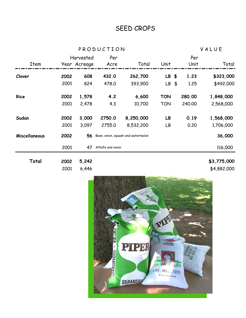### SEED CROPS

P R O D U C T I O N V A L U E

|               |      | Harvested    | Per               |                                    |            | Per                   |             |
|---------------|------|--------------|-------------------|------------------------------------|------------|-----------------------|-------------|
| Item          |      | Year Acreage | Acre              | Total                              | Unit       | Unit                  | Total       |
| Clover        | 2002 | 608          | 432.0             | 262,700                            | LB \$      | 1.23                  | \$323,000   |
|               | 2001 | 824          | 478.0             | 393,900                            | LB         | 1.25<br>$\frac{4}{5}$ | \$492,000   |
| <b>Rice</b>   | 2002 | 1,578        | 4.2               | 6,600                              | <b>TON</b> | 280.00                | 1,848,000   |
|               | 2001 | 2,478        | 4.3               | 10,700                             | <b>TON</b> | 240.00                | 2,568,000   |
| Sudan         | 2002 | 3,000        | 2750.0            | 8,250,000                          | LB         | 0.19                  | 1,568,000   |
|               | 2001 | 3,097        | 2755.0            | 8,532,200                          | LB         | 0.20                  | 1,706,000   |
| Miscellaneous | 2002 | 56           |                   | Bean, onion, squash and watermelon |            |                       | 36,000      |
|               | 2001 | 47           | Alfalfa and onion |                                    |            |                       | 116,000     |
| Total         | 2002 | 5,242        |                   |                                    |            |                       | \$3,775,000 |
|               | 2001 | 6,446        |                   |                                    |            |                       | \$4,882,000 |

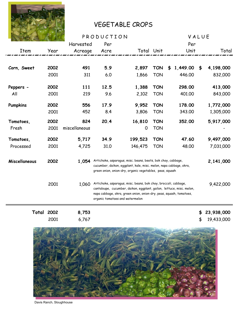

### VEGETABLE CROPS

|                   |      |               | PRODUCTION                                                                                                                                                                                                                                         | VALUE      |            |                |    |            |
|-------------------|------|---------------|----------------------------------------------------------------------------------------------------------------------------------------------------------------------------------------------------------------------------------------------------|------------|------------|----------------|----|------------|
|                   |      | Harvested     | Per                                                                                                                                                                                                                                                |            |            | Per            |    |            |
| <b>Item</b>       | Year | Acreage       | Acre                                                                                                                                                                                                                                               | Total Unit |            | Unit           |    | Total      |
|                   |      |               |                                                                                                                                                                                                                                                    |            |            |                |    |            |
| Corn, Sweet       | 2002 | 491           | 5.9                                                                                                                                                                                                                                                | 2,897      | <b>TON</b> | 1,449.00<br>\$ | \$ | 4,198,000  |
|                   | 2001 | 311           | 6.0                                                                                                                                                                                                                                                | 1,866      | <b>TON</b> | 446.00         |    | 832,000    |
| Peppers -         | 2002 | 111           | 12.5                                                                                                                                                                                                                                               | 1,388      | <b>TON</b> | 298.00         |    | 413,000    |
| All               | 2001 | 219           | 9.6                                                                                                                                                                                                                                                | 2,102      | <b>TON</b> | 401.00         |    | 843,000    |
| Pumpkins          | 2002 | 556           | 17.9                                                                                                                                                                                                                                               | 9,952      | <b>TON</b> | 178.00         |    | 1,772,000  |
|                   | 2001 | 452           | 8.4                                                                                                                                                                                                                                                | 3,806      | <b>TON</b> | 343.00         |    | 1,305,000  |
| Tomatoes,         | 2002 | 824           | 20.4                                                                                                                                                                                                                                               | 16,810     | <b>TON</b> | 352.00         |    | 5,917,000  |
| Fresh             | 2001 | miscellaneous |                                                                                                                                                                                                                                                    | 0          | <b>TON</b> |                |    |            |
| Tomatoes,         | 2002 | 5,717         | 34.9                                                                                                                                                                                                                                               | 199,523    | <b>TON</b> | 47.60          |    | 9,497,000  |
| Processed         | 2001 | 4,725         | 31.0                                                                                                                                                                                                                                               | 146,475    | <b>TON</b> | 48.00          |    | 7,031,000  |
| Miscellaneous     | 2002 | 1,054         | Artichoke, asparagus, misc. beans, beets, bok choy, cabbage,<br>cucumber, daikon, eggplant, kale, misc. melon, napa cabbage, okra,<br>green onion, onion-dry, organic vegetables, peas, squash                                                     |            |            |                |    | 2,141,000  |
|                   | 2001 | 1,060         | Artichoke, asparagus, misc. beans, bok choy, broccoli, cabbage,<br>cantaloupe, cucumber, daikon, eggplant, gailon, lettuce, misc. melon,<br>napa cabbage, okra, green onion, onion-dry, peas, squash, tomatoes,<br>organic tomatoes and watermelon |            |            |                |    | 9,422,000  |
| <b>Total 2002</b> |      | 8,753         |                                                                                                                                                                                                                                                    |            |            |                | \$ | 23,938,000 |
|                   | 2001 | 6,767         |                                                                                                                                                                                                                                                    |            |            |                | \$ | 19,433,000 |



Davis Ranch, Sloughhouse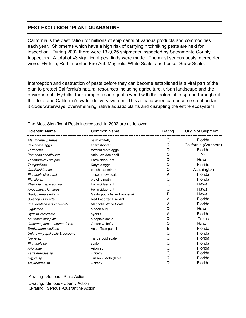#### **PEST EXCLUSION / PLANT QUARANTINE**

California is the destination for millions of shipments of various products and commodities each year. Shipments which have a high risk of carrying hitchhiking pests are held for inspection. During 2002 there were 132,025 shipments inspected by Sacramento County Inspectors. A total of 43 significant pest finds were made. The most serious pests intercepted were: Hydrilla, Red Imported Fire Ant, Magnolia White Scale, and Lesser Snow Scale.

Interception and destruction of pests before they can become established is a vital part of the plan to protect California's natural resources including agriculture, urban landscape and the environment. Hydrilla, for example, is an aquatic weed with the potential to spread throughout the delta and California's water delivery system. This aquatic weed can become so abundant it clogs waterways, overwhelming native aquatic plants and disrupting the entire ecosystem.

| <b>Scientific Name</b>        | <b>Common Name</b>           | Rating | Origin of Shipment    |
|-------------------------------|------------------------------|--------|-----------------------|
| Aleurocerus palmae            | palm whitefly                | Q      | Florida               |
| Proconiine eggs               | sharpshooter                 | Q      | California (Southern) |
| Tortricidae                   | tortricid moth eggs          | Q      | Florida               |
| Pomacea canaliculata          | Anipulaviidae snail          | Q      | ??                    |
| Technomyrex albipes           | Formicidae (ant)             | Q      | Hawaii                |
| Tettigoniidae                 | Katydid eggs                 | Q      | Florida               |
| Gracillariidae sp.            | blotch leaf miner            | Q      | Washington            |
| Pinnaspis strachani           | lesser snow scale            | Α      | Florida               |
| Plutella sp                   | plutellid moth               | Q      | Florida               |
| Pheidole megacephala          | Formicidae (ant)             | Q      | Hawaii                |
| Anopoblesis longipes          | Formicidae (ant)             | Q      | Hawaii                |
| Bradybaena similaris          | Gastropod - Asian trampsnail | B      | Hawaii                |
| Solenopsis invicta            | Red Imported Fire Ant        | Α      | Florida               |
| Pseudoulacasais cockerelli    | Magnolia White Scale         | Α      | Florida               |
| Lygaeidae                     | a seed bug                   | Q      | Hawaii                |
| Hydrilla verticulata          | hydrilla                     | Α      | Florida               |
| Acutaspis albopicta           | albopicta scale              | Q      | Texas                 |
| Orchamoplatus mammaeferus     | Croton whitefly              | Q      | Hawaii                |
| Bradybaena similaris          | Asian Trampsnail             | B      | Florida               |
| Unknown pupal cells & cocoons |                              | Q      | Florida               |
| Icerya sp                     | margarodid scale             | Q      | Florida               |
| Pinnaspis sp                  | scale                        | Q      | Florida               |
| Arionidae                     | Arion sp                     | Q      | Florida               |
| Tetraleurodes sp              | whitefly                     | Q      | Florida               |
| Orgyia sp                     | Tussock Moth (larva)         | Q      | Florida               |
| Aleyrodidae sp                | whitefly                     | Q      | Florida               |

The Most Significant Pests intercepted in 2002 are as follows:

A-rating: Serious - State Action

 B-rating: Serious - County Action Q-rating: Serious -Quarantine Action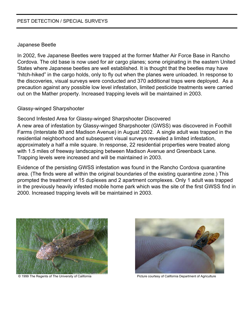#### PEST DETECTION / SPECIAL SURVEYS

#### Japanese Beetle

In 2002, five Japanese Beetles were trapped at the former Mather Air Force Base in Rancho Cordova. The old base is now used for air cargo planes; some originating in the eastern United States where Japanese beetles are well established. It is thought that the beetles may have "hitch-hiked" in the cargo holds, only to fly out when the planes were unloaded. In response to the discoveries, visual surveys were conducted and 370 additional traps were deployed. As a precaution against any possible low level infestation, limited pesticide treatments were carried out on the Mather property. Increased trapping levels will be maintained in 2003.

#### Glassy-winged Sharpshooter

Second Infested Area for Glassy-winged Sharpshooter Discovered A new area of infestation by Glassy-winged Sharpshooter (GWSS) was discovered in Foothill Farms (Interstate 80 and Madison Avenue) in August 2002. A single adult was trapped in the residential neighborhood and subsequent visual surveys revealed a limited infestation, approximately a half a mile square. In response, 22 residential properties were treated along with 1.5 miles of freeway landscaping between Madison Avenue and Greenback Lane. Trapping levels were increased and will be maintained in 2003.

Evidence of the persisting GWSS infestation was found in the Rancho Cordova quarantine area. (The finds were all within the original boundaries of the existing quarantine zone.) This prompted the treatment of 15 duplexes and 2 apartment complexes. Only 1 adult was trapped in the previously heavily infested mobile home park which was the site of the first GWSS find in 2000. Increased trapping levels will be maintained in 2003.



© 1999 The Regents of The University of California Picture Courtesy of California Department of Agriculture

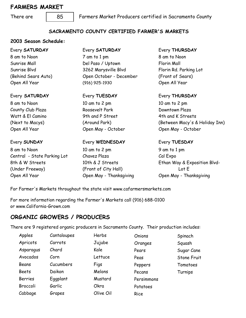#### **FARMERS MARKET**

There are Farmers Market Producers certified in Sacramento County

#### **SACRAMENTO COUNTY CERTIFIED FARMER'S MARKETS**

#### **2003 Season Schedule:**

| Every SATURDAY              | Every SATURDAY          | Every THURSDAY                 |  |
|-----------------------------|-------------------------|--------------------------------|--|
| 8 am to Noon                | 7 am to 1 pm            | 8 am to Noon                   |  |
| Sunrise Mall                | Del Paso / Uptown       | Florin Mall                    |  |
| Sunrise Blvd                | 3262 Marysville Blvd    | Florin Rd. Parking Lot         |  |
| (Behind Sears Auto)         | Open October - December | (Front of Sears)               |  |
| Open All Year               | (916) 925-1930          | Open All Year                  |  |
| Every SATURDAY              | Every TUESDAY           | Every THURSDAY                 |  |
| 8 am to Noon                | 10 am to 2 pm           | 10 am to 2 pm                  |  |
| County Club Plaza           | Roosevelt Park          | Downtown Plaza                 |  |
| Watt & El Camino            | 9th and P Street        | 4th and K Streets              |  |
| (Next to Macys)             | (Around Park)           | (Between Macy's & Holiday Inn) |  |
| Open All Year               | Open May - October      | Open May - October             |  |
| Every SUNDAY                | Every WEDNESDAY         | Every TUESDAY                  |  |
| 8 am to Noon                | 10 am to 2 pm           | 9 am to 1 pm                   |  |
| Central - State Parking Lot | Chavez Plaza            | Cal Expo                       |  |
| 8th & W Streets             | 10th & J Streets        | Ethan Way & Exposition Blvd-   |  |
| (Under Freeway)             | (Front of City Hall)    | Lot E                          |  |
| Open All Year               | Open May - Thanksgiving | Open May - Thanksgiving        |  |

For Farmer's Markets throughout the state visit www.cafarmersmarkets.com

For more information regarding the Farmer's Markets call (916) 688-0100 or www.California-Grown.com

#### **ORGANIC GROWERS / PRODUCERS**

There are 9 registered organic producers in Sacramento County. Their production includes:

| Apples         | Cantaloupes | Herbs     | Onions     | Spinach            |
|----------------|-------------|-----------|------------|--------------------|
| Apricots       | Carrots     | Jujube    | Oranges    | Squash             |
| Asparagus      | Chard       | Kale      | Pears      | Sugar Cane         |
| Avocados       | Corn        | Lettuce   | Peas       | <b>Stone Fruit</b> |
| Beans          | Cucumbers   | Figs      | Peppers    | Tomatoes           |
| <b>Beets</b>   | Daikon      | Melons    | Pecans     | Turnips            |
| <b>Berries</b> | Eggplant    | Mustard   | Persimmons |                    |
| Broccoli       | Garlic      | Okra      | Potatoes   |                    |
| Cabbage        | Grapes      | Olive Oil | Rice       |                    |